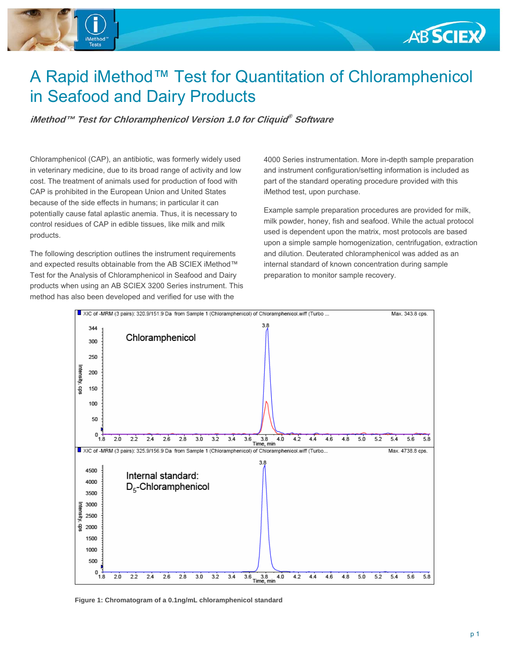

# **ABSCIEX**

# A Rapid iMethod™ Test for Quantitation of Chloramphenicol in Seafood and Dairy Products

**iMethod™ Test for Chloramphenicol Version 1.0 for Cliquid® Software** 

Chloramphenicol (CAP), an antibiotic, was formerly widely used in veterinary medicine, due to its broad range of activity and low cost. The treatment of animals used for production of food with CAP is prohibited in the European Union and United States because of the side effects in humans; in particular it can potentially cause fatal aplastic anemia. Thus, it is necessary to control residues of CAP in edible tissues, like milk and milk products.

The following description outlines the instrument requirements and expected results obtainable from the AB SCIEX iMethod™ Test for the Analysis of Chloramphenicol in Seafood and Dairy products when using an AB SCIEX 3200 Series instrument. This method has also been developed and verified for use with the

4000 Series instrumentation. More in-depth sample preparation and instrument configuration/setting information is included as part of the standard operating procedure provided with this iMethod test, upon purchase.

Example sample preparation procedures are provided for milk, milk powder, honey, fish and seafood. While the actual protocol used is dependent upon the matrix, most protocols are based upon a simple sample homogenization, centrifugation, extraction and dilution. Deuterated chloramphenicol was added as an internal standard of known concentration during sample preparation to monitor sample recovery.



**Figure 1: Chromatogram of a 0.1ng/mL chloramphenicol standard**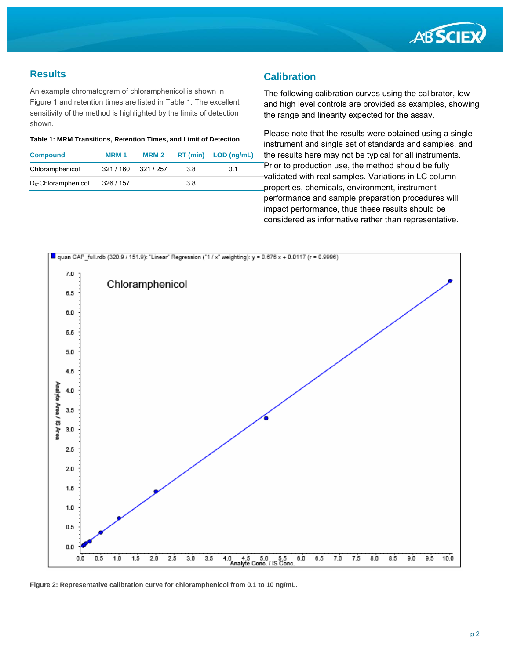

#### **Results**

An example chromatogram of chloramphenicol is shown in Figure 1 and retention times are listed in Table 1. The excellent sensitivity of the method is highlighted by the limits of detection shown.

#### **Table 1: MRM Transitions, Retention Times, and Limit of Detection**

| <b>Compound</b>        | <b>MRM1</b> | MRM <sub>2</sub> |     | $RT$ (min) $LOD$ (ng/mL) |
|------------------------|-------------|------------------|-----|--------------------------|
| Chloramphenicol        | 321 / 160   | 321 / 257        | 38  | 0.1                      |
| $D_5$ -Chloramphenicol | 326 / 157   |                  | 3.8 |                          |

#### **Calibration**

The following calibration curves using the calibrator, low and high level controls are provided as examples, showing the range and linearity expected for the assay.

Please note that the results were obtained using a single instrument and single set of standards and samples, and the results here may not be typical for all instruments. Prior to production use, the method should be fully validated with real samples. Variations in LC column properties, chemicals, environment, instrument performance and sample preparation procedures will impact performance, thus these results should be considered as informative rather than representative.



**Figure 2: Representative calibration curve for chloramphenicol from 0.1 to 10 ng/mL.**